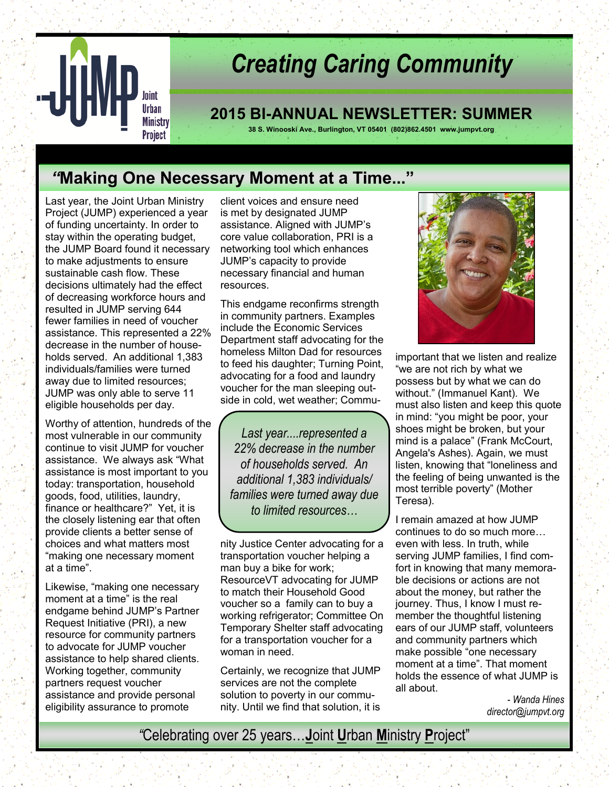

# *Creating Caring Community*

# **2015 BI-ANNUAL NEWSLETTER: SUMMER**

**38 S. Winooski Ave., Burlington, VT 05401 (802)862.4501 www.jumpvt.org**

# *"***Making One Necessary Moment at a Time..."**

Last year, the Joint Urban Ministry Project (JUMP) experienced a year of funding uncertainty. In order to stay within the operating budget, the JUMP Board found it necessary to make adjustments to ensure sustainable cash flow. These decisions ultimately had the effect of decreasing workforce hours and resulted in JUMP serving 644 fewer families in need of voucher assistance. This represented a 22% decrease in the number of households served. An additional 1,383 individuals/families were turned away due to limited resources; JUMP was only able to serve 11 eligible households per day.

Worthy of attention, hundreds of the most vulnerable in our community continue to visit JUMP for voucher assistance. We always ask "What assistance is most important to you today: transportation, household goods, food, utilities, laundry, finance or healthcare?" Yet, it is the closely listening ear that often provide clients a better sense of choices and what matters most "making one necessary moment at a time".

Likewise, "making one necessary moment at a time" is the real endgame behind JUMP's Partner Request Initiative (PRI), a new resource for community partners to advocate for JUMP voucher assistance to help shared clients. Working together, community partners request voucher assistance and provide personal eligibility assurance to promote

client voices and ensure need is met by designated JUMP assistance. Aligned with JUMP's core value collaboration, PRI is a networking tool which enhances JUMP's capacity to provide necessary financial and human resources.

This endgame reconfirms strength in community partners. Examples include the Economic Services Department staff advocating for the homeless Milton Dad for resources to feed his daughter; Turning Point, advocating for a food and laundry voucher for the man sleeping outside in cold, wet weather; Commu-

*Last year....represented a 22% decrease in the number of households served. An additional 1,383 individuals/ families were turned away due to limited resources…*

nity Justice Center advocating for a transportation voucher helping a man buy a bike for work; ResourceVT advocating for JUMP to match their Household Good voucher so a family can to buy a working refrigerator; Committee On Temporary Shelter staff advocating for a transportation voucher for a woman in need.

Certainly, we recognize that JUMP services are not the complete solution to poverty in our community. Until we find that solution, it is



important that we listen and realize "we are not rich by what we possess but by what we can do without." (Immanuel Kant). We must also listen and keep this quote in mind: "you might be poor, your shoes might be broken, but your mind is a palace" (Frank McCourt, Angela's Ashes). Again, we must listen, knowing that "loneliness and the feeling of being unwanted is the most terrible poverty" (Mother Teresa).

I remain amazed at how JUMP continues to do so much more… even with less. In truth, while serving JUMP families, I find comfort in knowing that many memorable decisions or actions are not about the money, but rather the journey. Thus, I know I must remember the thoughtful listening ears of our JUMP staff, volunteers and community partners which make possible "one necessary moment at a time". That moment holds the essence of what JUMP is all about.

> - *Wanda Hines director@jumpvt.org*

*"*Celebrating over 25 years…**J**oint **U**rban **M**inistry **P**roject"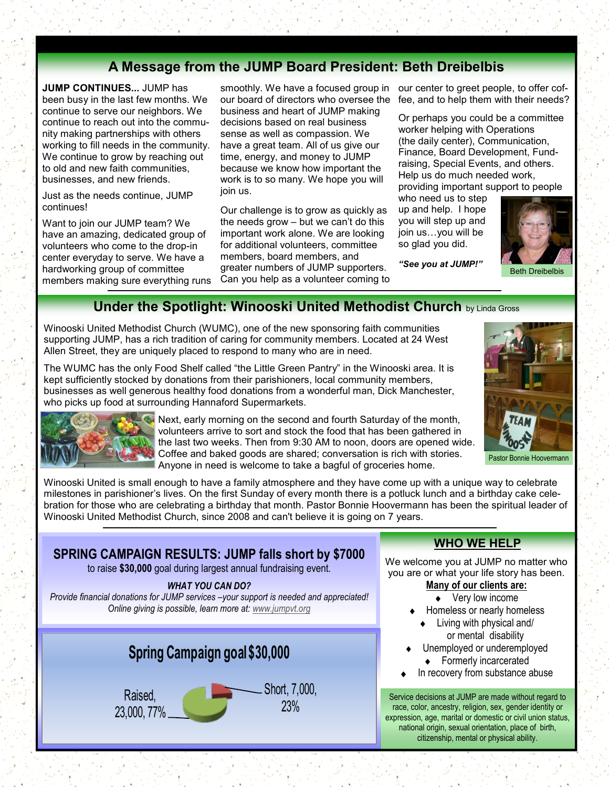# **A Message from the JUMP Board President: Beth Dreibelbis**

**JUMP CONTINUES...** JUMP has been busy in the last few months. We continue to serve our neighbors. We continue to reach out into the community making partnerships with others working to fill needs in the community. We continue to grow by reaching out to old and new faith communities. businesses, and new friends.

Just as the needs continue, JUMP continues!

Want to join our JUMP team? We have an amazing, dedicated group of volunteers who come to the drop-in center everyday to serve. We have a hardworking group of committee members making sure everything runs

business and heart of JUMP making decisions based on real business sense as well as compassion. We have a great team. All of us give our time, energy, and money to JUMP because we know how important the work is to so many. We hope you will join us.

Our challenge is to grow as quickly as the needs grow – but we can't do this important work alone. We are looking for additional volunteers, committee members, board members, and greater numbers of JUMP supporters. Can you help as a volunteer coming to

smoothly. We have a focused group in our center to greet people, to offer cofour board of directors who oversee the fee, and to help them with their needs?

> Or perhaps you could be a committee worker helping with Operations (the daily center), Communication, Finance, Board Development, Fundraising, Special Events, and others. Help us do much needed work, providing important support to people

who need us to step up and help. I hope you will step up and join us…you will be so glad you did.

*"See you at JUMP!"*



Beth Dreibelbis

# **Under the Spotlight: Winooski United Methodist Church by Linda Gross**

Winooski United Methodist Church (WUMC), one of the new sponsoring faith communities supporting JUMP, has a rich tradition of caring for community members. Located at 24 West Allen Street, they are uniquely placed to respond to many who are in need.

The WUMC has the only Food Shelf called "the Little Green Pantry" in the Winooski area. It is kept sufficiently stocked by donations from their parishioners, local community members, businesses as well generous healthy food donations from a wonderful man, Dick Manchester, who picks up food at surrounding Hannaford Supermarkets.



Next, early morning on the second and fourth Saturday of the month, volunteers arrive to sort and stock the food that has been gathered in the last two weeks. Then from 9:30 AM to noon, doors are opened wide. Coffee and baked goods are shared; conversation is rich with stories.

Anyone in need is welcome to take a bagful of groceries home. Pastor Bonnie Hoovermann

Winooski United is small enough to have a family atmosphere and they have come up with a unique way to celebrate milestones in parishioner's lives. On the first Sunday of every month there is a potluck lunch and a birthday cake celebration for those who are celebrating a birthday that month. Pastor Bonnie Hoovermann has been the spiritual leader of Winooski United Methodist Church, since 2008 and can't believe it is going on 7 years.

# **SPRING CAMPAIGN RESULTS: JUMP falls short by \$7000**

to raise **\$30,000** goal during largest annual fundraising event.

#### *WHAT YOU CAN DO?*

*Provide financial donations for JUMP services –your support is needed and appreciated! Online giving is possible, learn more at: [www.jumpvt.org](http://www.jumpvt.org)*



# **WHO WE HELP**

We welcome you at JUMP no matter who you are or what your life story has been. **Many of our clients are:**

- Very low income  $\bullet$
- Homeless or nearly homeless
	- Living with physical and/ or mental disability
- Unemployed or underemployed ◆ Formerly incarcerated
- In recovery from substance abuse

Service decisions at JUMP are made without regard to race, color, ancestry, religion, sex, gender identity or expression, age, marital or domestic or civil union status, national origin, sexual orientation, place of birth, citizenship, mental or physical ability.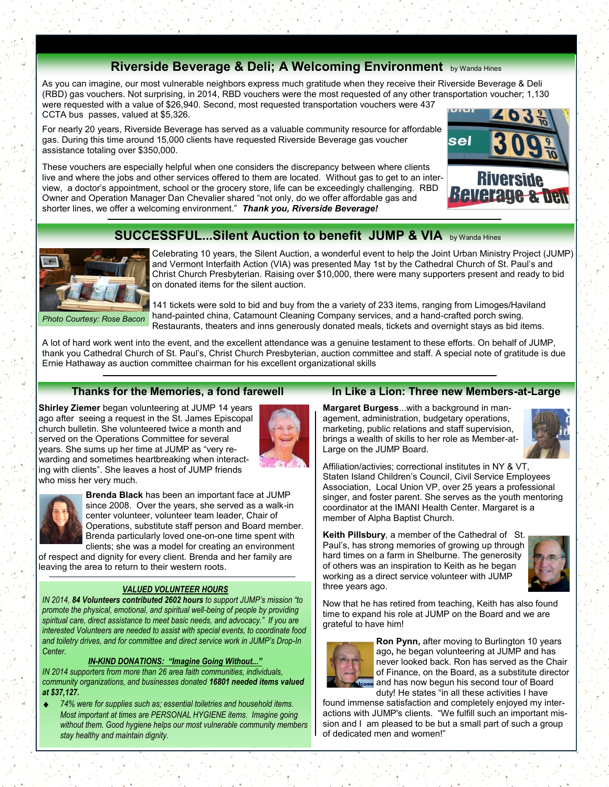# **Riverside Beverage & Deli; A Welcoming Environment** by Wanda Hines

As you can imagine, our most vulnerable neighbors express much gratitude when they receive their Riverside Beverage & Deli (RBD) gas vouchers. Not surprising, in 2014, RBD vouchers were the most requested of any other transportation voucher; 1,130 were requested with a value of \$26,940. Second, most requested transportation vouchers were 437 CCTA bus passes, valued at \$5,326.

For nearly 20 years, Riverside Beverage has served as a valuable community resource for affordable gas. During this time around 15,000 clients have requested Riverside Beverage gas voucher assistance totaling over \$350,000.

These vouchers are especially helpful when one considers the discrepancy between where clients live and where the jobs and other services offered to them are located. Without gas to get to an interview, a doctor's appointment, school or the grocery store, life can be exceedingly challenging. RBD Owner and Operation Manager Dan Chevalier shared "not only, do we offer affordable gas and shorter lines, we offer a welcoming environment." *Thank you, Riverside Beverage!*



### **SUCCESSFUL...Silent Auction to benefit JUMP & VIA** by Wanda Hines



*Photo Courtesy: Rose Bacon* 

Celebrating 10 years, the Silent Auction, a wonderful event to help the Joint Urban Ministry Project (JUMP) and Vermont Interfaith Action (VIA) was presented May 1st by the Cathedral Church of St. Paul's and Christ Church Presbyterian. Raising over \$10,000, there were many supporters present and ready to bid on donated items for the silent auction.

141 tickets were sold to bid and buy from the a variety of 233 items, ranging from Limoges/Haviland hand-painted china, Catamount Cleaning Company services, and a hand-crafted porch swing. Restaurants, theaters and inns generously donated meals, tickets and overnight stays as bid items.

A lot of hard work went into the event, and the excellent attendance was a genuine testament to these efforts. On behalf of JUMP, thank you Cathedral Church of St. Paul's, Christ Church Presbyterian, auction committee and staff. A special note of gratitude is due Ernie Hathaway as auction committee chairman for his excellent organizational skills

#### **Thanks for the Memories, a fond farewell**

**Shirley Ziemer** began volunteering at JUMP 14 years ago after seeing a request in the St. James Episcopal church bulletin. She volunteered twice a month and served on the Operations Committee for several years. She sums up her time at JUMP as "very rewarding and sometimes heartbreaking when interacting with clients". She leaves a host of JUMP friends who miss her very much.





**Brenda Black** has been an important face at JUMP since 2008. Over the years, she served as a walk-in center volunteer, volunteer team leader, Chair of Operations, substitute staff person and Board member. Brenda particularly loved one-on-one time spent with clients; she was a model for creating an environment

of respect and dignity for every client. Brenda and her family are leaving the area to return to their western roots.

#### *VALUED VOLUNTEER HOURS*

*IN 2014, 84 Volunteers contributed 2602 hours to support JUMP's mission "to promote the physical, emotional, and spiritual well-being of people by providing spiritual care, direct assistance to meet basic needs, and advocacy." If you are interested Volunteers are needed to assist with special events, to coordinate food and toiletry drives, and for committee and direct service work in JUMP's Drop-In Center.* 

#### *IN-KIND DONATIONS: "Imagine Going Without..."*

*IN 2014 supporters from more than 26 area faith communities, individuals, community organizations, and businesses donated 16801 needed items valued at \$37,127.*

*74% were for supplies such as; essential toiletries and household items. Most important at times are PERSONAL HYGIENE items. Imagine going without them. Good hygiene helps our most vulnerable community members stay healthy and maintain dignity.*

#### **In Like a Lion: Three new Members-at-Large**

**Margaret Burgess**...with a background in management, administration, budgetary operations, marketing, public relations and staff supervision, brings a wealth of skills to her role as Member-at-Large on the JUMP Board.



Affiliation/activies; correctional institutes in NY & VT, Staten Island Children's Council, Civil Service Employees Association, Local Union VP, over 25 years a professional singer, and foster parent. She serves as the youth mentoring coordinator at the IMANI Health Center. Margaret is a member of Alpha Baptist Church.

**Keith Pillsbury**, a member of the Cathedral of St. Paul's, has strong memories of growing up through hard times on a farm in Shelburne. The generosity of others was an inspiration to Keith as he began working as a direct service volunteer with JUMP three years ago.



Now that he has retired from teaching, Keith has also found time to expand his role at JUMP on the Board and we are grateful to have him!



**Ron Pynn,** after moving to Burlington 10 years ago**,** he began volunteering at JUMP and has never looked back. Ron has served as the Chair of Finance, on the Board, as a substitute director and has now begun his second tour of Board duty! He states "in all these activities I have

found immense satisfaction and completely enjoyed my interactions with JUMP's clients. "We fulfill such an important mission and I am pleased to be but a small part of such a group of dedicated men and women!"